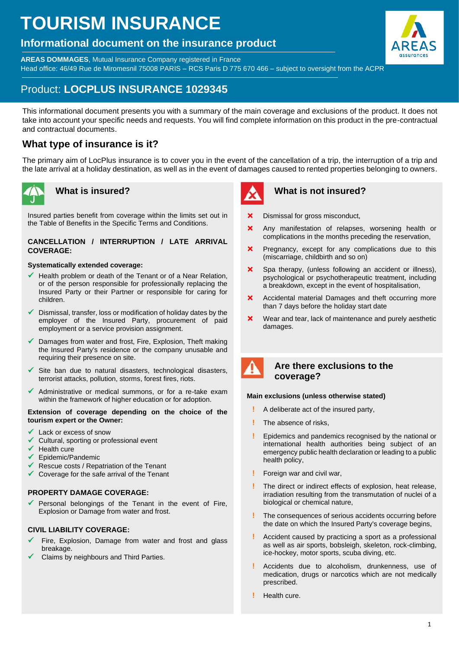# **TOURISM INSURANCE**

# **Informational document on the insurance product**

**AREAS DOMMAGES**, Mutual Insurance Company registered in France Head office: 46/49 Rue de Miromesnil 75008 PARIS – RCS Paris D 775 670 466 – subject to oversight from the ACPR



# Product: **LOCPLUS INSURANCE 1029345**

This informational document presents you with a summary of the main coverage and exclusions of the product. It does not take into account your specific needs and requests. You will find complete information on this product in the pre-contractual and contractual documents.

# **What type of insurance is it?**

The primary aim of LocPlus insurance is to cover you in the event of the cancellation of a trip, the interruption of a trip and the late arrival at a holiday destination, as well as in the event of damages caused to rented properties belonging to owners.



# **What is insured?**

Insured parties benefit from coverage within the limits set out in the Table of Benefits in the Specific Terms and Conditions.

# **CANCELLATION / INTERRUPTION / LATE ARRIVAL COVERAGE:**

# **Systematically extended coverage:**

- $\checkmark$  Health problem or death of the Tenant or of a Near Relation, or of the person responsible for professionally replacing the Insured Party or their Partner or responsible for caring for children.
- $\checkmark$  Dismissal, transfer, loss or modification of holiday dates by the employer of the Insured Party, procurement of paid employment or a service provision assignment.
- $\checkmark$  Damages from water and frost, Fire, Explosion, Theft making the Insured Party's residence or the company unusable and requiring their presence on site.
- ✓ Site ban due to natural disasters, technological disasters, terrorist attacks, pollution, storms, forest fires, riots.
- $\checkmark$  Administrative or medical summons, or for a re-take exam within the framework of higher education or for adoption.

# **Extension of coverage depending on the choice of the tourism expert or the Owner:**

- Lack or excess of snow
- Cultural, sporting or professional event
- Health cure
- Epidemic/Pandemic
- Rescue costs / Repatriation of the Tenant
- ✓ Coverage for the safe arrival of the Tenant

# **PROPERTY DAMAGE COVERAGE:**

Personal belongings of the Tenant in the event of Fire, Explosion or Damage from water and frost.

# **CIVIL LIABILITY COVERAGE:**

- Fire, Explosion, Damage from water and frost and glass breakage.
- Claims by neighbours and Third Parties.



# **What is not insured?**

- X Dismissal for gross misconduct.
- **X** Any manifestation of relapses, worsening health or complications in the months preceding the reservation,
- **X** Pregnancy, except for any complications due to this (miscarriage, childbirth and so on)
- **X** Spa therapy, (unless following an accident or illness), psychological or psychotherapeutic treatment, including a breakdown, except in the event of hospitalisation,
- **X** Accidental material Damages and theft occurring more than 7 days before the holiday start date
- **X** Wear and tear, lack of maintenance and purely aesthetic damages.



# **Are there exclusions to the coverage?**

# **Main exclusions (unless otherwise stated)**

- **!** A deliberate act of the insured party,
- **!** The absence of risks,
- **!** Epidemics and pandemics recognised by the national or international health authorities being subject of an emergency public health declaration or leading to a public health policy,
- **!** Foreign war and civil war,
- **!** The direct or indirect effects of explosion, heat release, irradiation resulting from the transmutation of nuclei of a biological or chemical nature,
- **!** The consequences of serious accidents occurring before the date on which the Insured Party's coverage begins,
- **!** Accident caused by practicing a sport as a professional as well as air sports, bobsleigh, skeleton, rock-climbing, ice-hockey, motor sports, scuba diving, etc.
- **!** Accidents due to alcoholism, drunkenness, use of medication, drugs or narcotics which are not medically prescribed.
- **!** Health cure.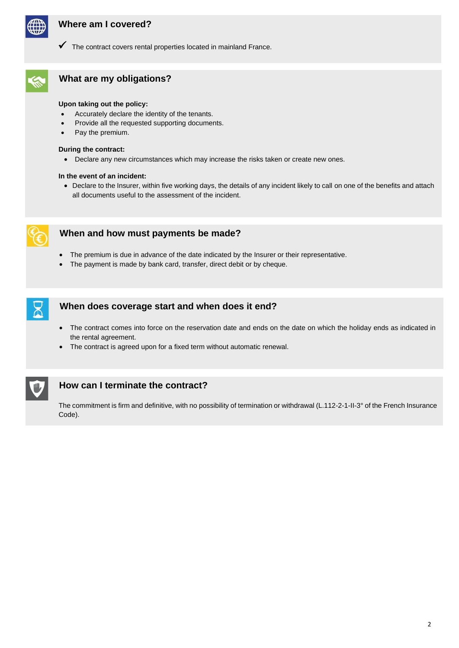

# **Where am I covered?**

✓ The contract covers rental properties located in mainland France.



# **What are my obligations?**

# **Upon taking out the policy:**

- Accurately declare the identity of the tenants.
- Provide all the requested supporting documents.
- Pay the premium.

# **During the contract:**

• Declare any new circumstances which may increase the risks taken or create new ones.

# **In the event of an incident:**

• Declare to the Insurer, within five working days, the details of any incident likely to call on one of the benefits and attach all documents useful to the assessment of the incident.



# **When and how must payments be made?**

- The premium is due in advance of the date indicated by the Insurer or their representative.
- The payment is made by bank card, transfer, direct debit or by cheque.



# **When does coverage start and when does it end?**

- The contract comes into force on the reservation date and ends on the date on which the holiday ends as indicated in the rental agreement.
- The contract is agreed upon for a fixed term without automatic renewal.



# **How can I terminate the contract?**

The commitment is firm and definitive, with no possibility of termination or withdrawal (L.112-2-1-II-3° of the French Insurance Code).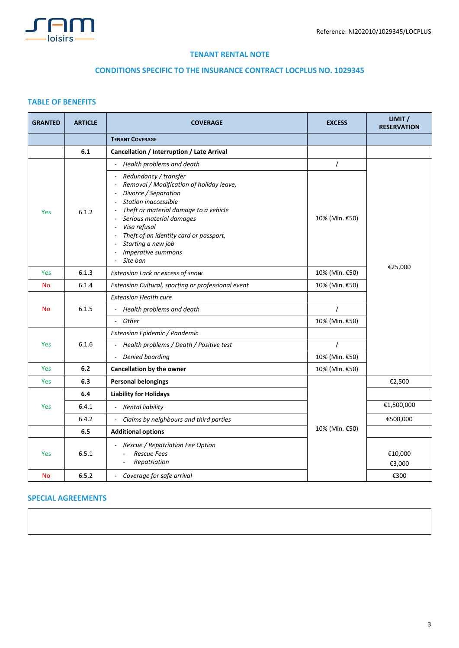

# **TENANT RENTAL NOTE**

# **CONDITIONS SPECIFIC TO THE INSURANCE CONTRACT LOCPLUS NO. 1029345**

# **TABLE OF BENEFITS**

| <b>GRANTED</b> | <b>ARTICLE</b> | <b>COVERAGE</b>                                                                                                                                                                                                                                                                                                                                                                              | <b>EXCESS</b>  | LIMIT /<br><b>RESERVATION</b> |
|----------------|----------------|----------------------------------------------------------------------------------------------------------------------------------------------------------------------------------------------------------------------------------------------------------------------------------------------------------------------------------------------------------------------------------------------|----------------|-------------------------------|
|                |                | <b>TENANT COVERAGE</b>                                                                                                                                                                                                                                                                                                                                                                       |                |                               |
|                | 6.1            | Cancellation / Interruption / Late Arrival                                                                                                                                                                                                                                                                                                                                                   |                |                               |
|                |                | Health problems and death<br>$\blacksquare$                                                                                                                                                                                                                                                                                                                                                  |                |                               |
| Yes            | 6.1.2          | Redundancy / transfer<br>Removal / Modification of holiday leave,<br>$\blacksquare$<br>Divorce / Separation<br>$\overline{\phantom{a}}$<br>Station inaccessible<br>$\sim$<br>Theft or material damage to a vehicle<br>Serious material damages<br>$\overline{\phantom{a}}$<br>Visa refusal<br>Theft of an identity card or passport,<br>Starting a new job<br>Imperative summons<br>Site ban | 10% (Min. €50) |                               |
| Yes            | 6.1.3          | Extension Lack or excess of snow                                                                                                                                                                                                                                                                                                                                                             | 10% (Min. €50) | €25,000                       |
| <b>No</b>      | 6.1.4          | Extension Cultural, sporting or professional event                                                                                                                                                                                                                                                                                                                                           | 10% (Min. €50) |                               |
| <b>No</b>      | 6.1.5          | <b>Extension Health cure</b>                                                                                                                                                                                                                                                                                                                                                                 |                |                               |
|                |                | - Health problems and death                                                                                                                                                                                                                                                                                                                                                                  | $\prime$       |                               |
|                |                | - Other                                                                                                                                                                                                                                                                                                                                                                                      | 10% (Min. €50) |                               |
| Yes            | 6.1.6          | Extension Epidemic / Pandemic                                                                                                                                                                                                                                                                                                                                                                |                |                               |
|                |                | Health problems / Death / Positive test                                                                                                                                                                                                                                                                                                                                                      | $\prime$       |                               |
|                |                | Denied boarding                                                                                                                                                                                                                                                                                                                                                                              | 10% (Min. €50) |                               |
| Yes            | 6.2            | Cancellation by the owner                                                                                                                                                                                                                                                                                                                                                                    | 10% (Min. €50) |                               |
| Yes            | 6.3            | <b>Personal belongings</b>                                                                                                                                                                                                                                                                                                                                                                   |                | €2,500                        |
| Yes            | 6.4            | <b>Liability for Holidays</b>                                                                                                                                                                                                                                                                                                                                                                | 10% (Min. €50) |                               |
|                | 6.4.1          | - Rental liability                                                                                                                                                                                                                                                                                                                                                                           |                | €1,500,000                    |
|                | 6.4.2          | Claims by neighbours and third parties<br>$\sim$                                                                                                                                                                                                                                                                                                                                             |                | €500,000                      |
|                | 6.5            | <b>Additional options</b>                                                                                                                                                                                                                                                                                                                                                                    |                |                               |
| Yes            | 6.5.1          | Rescue / Repatriation Fee Option<br><b>Rescue Fees</b><br>Repatriation                                                                                                                                                                                                                                                                                                                       |                | €10,000<br>€3,000             |
| <b>No</b>      | 6.5.2          | - Coverage for safe arrival                                                                                                                                                                                                                                                                                                                                                                  |                | €300                          |

# **SPECIAL AGREEMENTS**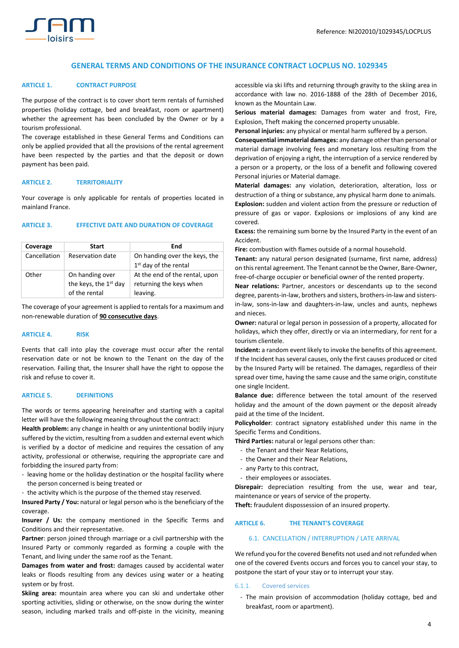

# **GENERAL TERMS AND CONDITIONS OF THE INSURANCE CONTRACT LOCPLUS NO. 1029345**

#### **ARTICLE 1. CONTRACT PURPOSE**

The purpose of the contract is to cover short term rentals of furnished properties (holiday cottage, bed and breakfast, room or apartment) whether the agreement has been concluded by the Owner or by a tourism professional.

The coverage established in these General Terms and Conditions can only be applied provided that all the provisions of the rental agreement have been respected by the parties and that the deposit or down payment has been paid.

# **ARTICLE 2. TERRITORIALITY**

Your coverage is only applicable for rentals of properties located in mainland France.

# **ARTICLE 3. EFFECTIVE DATE AND DURATION OF COVERAGE**

| Coverage     | <b>Start</b>                                                          | End                                                                   |
|--------------|-----------------------------------------------------------------------|-----------------------------------------------------------------------|
| Cancellation | Reservation date                                                      | On handing over the keys, the<br>1 <sup>st</sup> day of the rental    |
| Other        | On handing over<br>the keys, the 1 <sup>st</sup> day<br>of the rental | At the end of the rental, upon<br>returning the keys when<br>leaving. |

The coverage of your agreement is applied to rentals for a maximum and non-renewable duration of **90 consecutive days**.

# **ARTICLE 4. RISK**

Events that call into play the coverage must occur after the rental reservation date or not be known to the Tenant on the day of the reservation. Failing that, the Insurer shall have the right to oppose the risk and refuse to cover it.

#### **ARTICLE 5. DEFINITIONS**

The words or terms appearing hereinafter and starting with a capital letter will have the following meaning throughout the contract:

**Health problem:** any change in health or any unintentional bodily injury suffered by the victim, resulting from a sudden and external event which is verified by a doctor of medicine and requires the cessation of any activity, professional or otherwise, requiring the appropriate care and forbidding the insured party from:

- leaving home or the holiday destination or the hospital facility where the person concerned is being treated or
- the activity which is the purpose of the themed stay reserved.

**Insured Party / You:** natural or legal person who is the beneficiary of the coverage.

**Insurer / Us:** the company mentioned in the Specific Terms and Conditions and their representative.

**Partner**: person joined through marriage or a civil partnership with the Insured Party or commonly regarded as forming a couple with the Tenant, and living under the same roof as the Tenant.

**Damages from water and frost:** damages caused by accidental water leaks or floods resulting from any devices using water or a heating system or by frost.

**Skiing area:** mountain area where you can ski and undertake other sporting activities, sliding or otherwise, on the snow during the winter season, including marked trails and off-piste in the vicinity, meaning accessible via ski lifts and returning through gravity to the skiing area in accordance with law no. 2016-1888 of the 28th of December 2016, known as the Mountain Law.

**Serious material damages:** Damages from water and frost, Fire, Explosion, Theft making the concerned property unusable.

**Personal injuries:** any physical or mental harm suffered by a person.

**Consequential immaterial damages:** any damage other than personal or material damage involving fees and monetary loss resulting from the deprivation of enjoying a right, the interruption of a service rendered by a person or a property, or the loss of a benefit and following covered Personal injuries or Material damage.

**Material damages:** any violation, deterioration, alteration, loss or destruction of a thing or substance, any physical harm done to animals. **Explosion:** sudden and violent action from the pressure or reduction of pressure of gas or vapor. Explosions or implosions of any kind are covered.

**Excess:** the remaining sum borne by the Insured Party in the event of an Accident.

**Fire:** combustion with flames outside of a normal household.

**Tenant:** any natural person designated (surname, first name, address) on this rental agreement. The Tenant cannot be the Owner, Bare-Owner, free-of-charge occupier or beneficial owner of the rented property.

**Near relations:** Partner, ancestors or descendants up to the second degree, parents-in-law, brothers and sisters, brothers-in-law and sistersin-law, sons-in-law and daughters-in-law, uncles and aunts, nephews and nieces.

**Owner:** natural or legal person in possession of a property, allocated for holidays, which they offer, directly or via an intermediary, for rent for a tourism clientele.

**Incident:** a random event likely to invoke the benefits of this agreement. If the Incident has several causes, only the first causes produced or cited by the Insured Party will be retained. The damages, regardless of their spread over time, having the same cause and the same origin, constitute one single Incident.

**Balance due:** difference between the total amount of the reserved holiday and the amount of the down payment or the deposit already paid at the time of the Incident.

**Policyholder**: contract signatory established under this name in the Specific Terms and Conditions.

**Third Parties:** natural or legal persons other than:

- the Tenant and their Near Relations,
- the Owner and their Near Relations,
- any Party to this contract,
- their employees or associates.

**Disrepair:** depreciation resulting from the use, wear and tear, maintenance or years of service of the property.

**Theft:** fraudulent dispossession of an insured property.

# **ARTICLE 6. THE TENANT'S COVERAGE**

# 6.1. CANCELLATION / INTERRUPTION / LATE ARRIVAL

We refund you for the covered Benefits not used and not refunded when one of the covered Events occurs and forces you to cancel your stay, to postpone the start of your stay or to interrupt your stay.

#### 6.1.1. Covered services

- The main provision of accommodation (holiday cottage, bed and breakfast, room or apartment).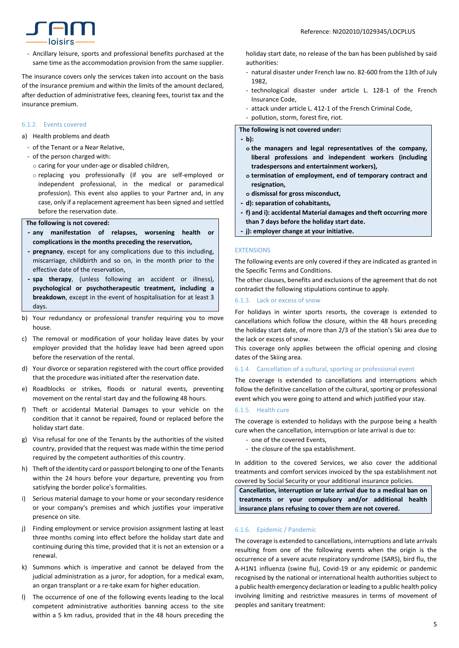

- Ancillary leisure, sports and professional benefits purchased at the same time as the accommodation provision from the same supplier.

The insurance covers only the services taken into account on the basis of the insurance premium and within the limits of the amount declared, after deduction of administrative fees, cleaning fees, tourist tax and the insurance premium.

# 6.1.2. Events covered

- a) Health problems and death
	- of the Tenant or a Near Relative,
	- of the person charged with:
		- o caring for your under-age or disabled children,
		- o replacing you professionally (if you are self-employed or independent professional, in the medical or paramedical profession). This event also applies to your Partner and, in any case, only if a replacement agreement has been signed and settled before the reservation date.

#### **The following is not covered:**

- **- any manifestation of relapses, worsening health or complications in the months preceding the reservation,**
- **- pregnancy**, except for any complications due to this including, miscarriage, childbirth and so on, in the month prior to the effective date of the reservation,
- **- spa therapy**, (unless following an accident or illness), **psychological or psychotherapeutic treatment, including a breakdown**, except in the event of hospitalisation for at least 3 days.
- b) Your redundancy or professional transfer requiring you to move house.
- c) The removal or modification of your holiday leave dates by your employer provided that the holiday leave had been agreed upon before the reservation of the rental.
- d) Your divorce or separation registered with the court office provided that the procedure was initiated after the reservation date.
- e) Roadblocks or strikes, floods or natural events, preventing movement on the rental start day and the following 48 hours.
- f) Theft or accidental Material Damages to your vehicle on the condition that it cannot be repaired, found or replaced before the holiday start date.
- g) Visa refusal for one of the Tenants by the authorities of the visited country, provided that the request was made within the time period required by the competent authorities of this country.
- h) Theft of the identity card or passport belonging to one of the Tenants within the 24 hours before your departure, preventing you from satisfying the border police's formalities.
- i) Serious material damage to your home or your secondary residence or your company's premises and which justifies your imperative presence on site.
- j) Finding employment or service provision assignment lasting at least three months coming into effect before the holiday start date and continuing during this time, provided that it is not an extension or a renewal.
- k) Summons which is imperative and cannot be delayed from the judicial administration as a juror, for adoption, for a medical exam, an organ transplant or a re-take exam for higher education.
- l) The occurrence of one of the following events leading to the local competent administrative authorities banning access to the site within a 5 km radius, provided that in the 48 hours preceding the

holiday start date, no release of the ban has been published by said authorities:

- natural disaster under French law no. 82-600 from the 13th of July 1982,
- technological disaster under article L. 128-1 of the French Insurance Code,
- attack under article L. 412-1 of the French Criminal Code,
- pollution, storm, forest fire, riot.

#### **The following is not covered under:**

#### **- b):**

- **o the managers and legal representatives of the company, liberal professions and independent workers (including tradespersons and entertainment workers),**
- **o termination of employment, end of temporary contract and resignation,**
- **o dismissal for gross misconduct,**
- **- d): separation of cohabitants,**
- **- f) and i): accidental Material damages and theft occurring more than 7 days before the holiday start date.**
- **- j): employer change at your initiative.**

# EXTENSIONS

The following events are only covered if they are indicated as granted in the Specific Terms and Conditions.

The other clauses, benefits and exclusions of the agreement that do not contradict the following stipulations continue to apply.

# 6.1.3. Lack or excess of snow

For holidays in winter sports resorts, the coverage is extended to cancellations which follow the closure, within the 48 hours preceding the holiday start date, of more than 2/3 of the station's Ski area due to the lack or excess of snow.

This coverage only applies between the official opening and closing dates of the Skiing area.

#### 6.1.4. Cancellation of a cultural, sporting or professional event

The coverage is extended to cancellations and interruptions which follow the definitive cancellation of the cultural, sporting or professional event which you were going to attend and which justified your stay.

#### 6.1.5. Health cure

The coverage is extended to holidays with the purpose being a health cure when the cancellation, interruption or late arrival is due to:

- one of the covered Events,
- the closure of the spa establishment.

In addition to the covered Services, we also cover the additional treatments and comfort services invoiced by the spa establishment not covered by Social Security or your additional insurance policies.

**Cancellation, interruption or late arrival due to a medical ban on treatments or your compulsory and/or additional health insurance plans refusing to cover them are not covered.**

## 6.1.6. Epidemic / Pandemic

The coverage is extended to cancellations, interruptions and late arrivals resulting from one of the following events when the origin is the occurrence of a severe acute respiratory syndrome (SARS), bird flu, the A-H1N1 influenza (swine flu), Covid-19 or any epidemic or pandemic recognised by the national or international health authorities subject to a public health emergency declaration or leading to a public health policy involving limiting and restrictive measures in terms of movement of peoples and sanitary treatment: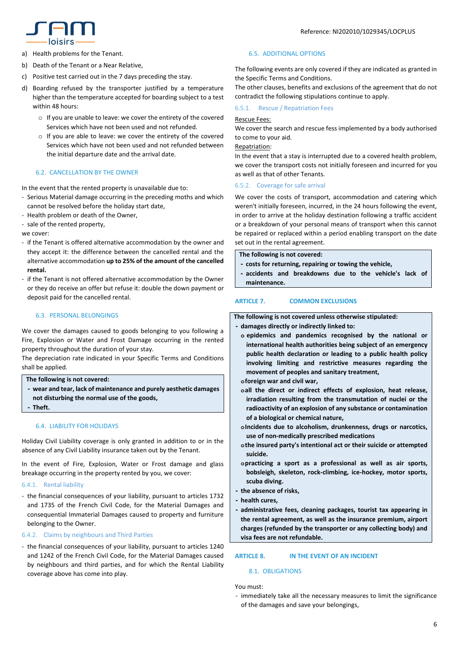

- a) Health problems for the Tenant.
- b) Death of the Tenant or a Near Relative,
- c) Positive test carried out in the 7 days preceding the stay.
- d) Boarding refused by the transporter justified by a temperature higher than the temperature accepted for boarding subject to a test within 48 hours:
	- o If you are unable to leave: we cover the entirety of the covered Services which have not been used and not refunded.
	- o If you are able to leave: we cover the entirety of the covered Services which have not been used and not refunded between the initial departure date and the arrival date.

# 6.2. CANCELLATION BY THE OWNER

In the event that the rented property is unavailable due to:

- Serious Material damage occurring in the preceding moths and which cannot be resolved before the holiday start date,
- Health problem or death of the Owner,
- sale of the rented property,

we cover:

- if the Tenant is offered alternative accommodation by the owner and they accept it: the difference between the cancelled rental and the alternative accommodation **up to 25% of the amount of the cancelled rental.**
- if the Tenant is not offered alternative accommodation by the Owner or they do receive an offer but refuse it: double the down payment or deposit paid for the cancelled rental.

# 6.3. PERSONAL BELONGINGS

We cover the damages caused to goods belonging to you following a Fire, Explosion or Water and Frost Damage occurring in the rented property throughout the duration of your stay.

The depreciation rate indicated in your Specific Terms and Conditions shall be applied.

## **The following is not covered:**

**- wear and tear, lack of maintenance and purely aesthetic damages not disturbing the normal use of the goods, - Theft.**

# 6.4. LIABILITY FOR HOLIDAYS

Holiday Civil Liability coverage is only granted in addition to or in the absence of any Civil Liability insurance taken out by the Tenant.

In the event of Fire, Explosion, Water or Frost damage and glass breakage occurring in the property rented by you, we cover:

# 6.4.1. Rental liability

- the financial consequences of your liability, pursuant to articles 1732 and 1735 of the French Civil Code, for the Material Damages and consequential Immaterial Damages caused to property and furniture belonging to the Owner.

# 6.4.2. Claims by neighbours and Third Parties

- the financial consequences of your liability, pursuant to articles 1240 and 1242 of the French Civil Code, for the Material Damages caused by neighbours and third parties, and for which the Rental Liability coverage above has come into play.

# 6.5. ADDITIONAL OPTIONS

The following events are only covered if they are indicated as granted in the Specific Terms and Conditions.

The other clauses, benefits and exclusions of the agreement that do not contradict the following stipulations continue to apply.

# 6.5.1. Rescue / Repatriation Fees

# Rescue Fees:

We cover the search and rescue fess implemented by a body authorised to come to your aid.

# Repatriation:

In the event that a stay is interrupted due to a covered health problem, we cover the transport costs not initially foreseen and incurred for you as well as that of other Tenants.

## 6.5.2. Coverage for safe arrival

We cover the costs of transport, accommodation and catering which weren't initially foreseen, incurred, in the 24 hours following the event, in order to arrive at the holiday destination following a traffic accident or a breakdown of your personal means of transport when this cannot be repaired or replaced within a period enabling transport on the date set out in the rental agreement.

**The following is not covered:**

- **- costs for returning, repairing or towing the vehicle,**
- **- accidents and breakdowns due to the vehicle's lack of maintenance.**

# **ARTICLE 7. COMMON EXCLUSIONS**

**The following is not covered unless otherwise stipulated:**

- **- damages directly or indirectly linked to:**
- **o epidemics and pandemics recognised by the national or international health authorities being subject of an emergency public health declaration or leading to a public health policy involving limiting and restrictive measures regarding the movement of peoples and sanitary treatment,**

**oforeign war and civil war,**

- **oall the direct or indirect effects of explosion, heat release, irradiation resulting from the transmutation of nuclei or the radioactivity of an explosion of any substance or contamination of a biological or chemical nature,**
- **oIncidents due to alcoholism, drunkenness, drugs or narcotics, use of non-medically prescribed medications**
- **othe insured party's intentional act or their suicide or attempted suicide.**
- **opracticing a sport as a professional as well as air sports, bobsleigh, skeleton, rock-climbing, ice-hockey, motor sports, scuba diving.**
- **- the absence of risks,**
- **- health cures,**
- **- administrative fees, cleaning packages, tourist tax appearing in the rental agreement, as well as the insurance premium, airport charges (refunded by the transporter or any collecting body) and visa fees are not refundable.**

# **ARTICLE 8. IN THE EVENT OF AN INCIDENT**

# 8.1. OBLIGATIONS

You must:

- immediately take all the necessary measures to limit the significance of the damages and save your belongings,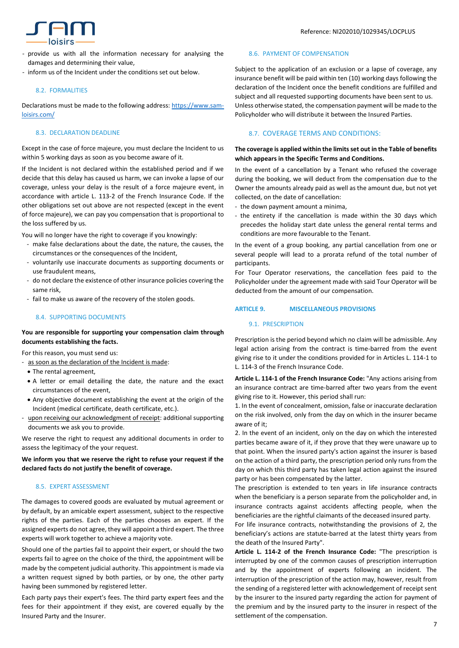- provide us with all the information necessary for analysing the damages and determining their value,
- inform us of the Incident under the conditions set out below.

# 8.2. FORMALITIES

Declarations must be made to the following address: [https://www.sam](https://www.sam-loisirs.com/)[loisirs.com/](https://www.sam-loisirs.com/)

# 8.3. DECLARATION DEADLINE

Except in the case of force majeure, you must declare the Incident to us within 5 working days as soon as you become aware of it.

If the Incident is not declared within the established period and if we decide that this delay has caused us harm, we can invoke a lapse of our coverage, unless your delay is the result of a force majeure event, in accordance with article L. 113-2 of the French Insurance Code. If the other obligations set out above are not respected (except in the event of force majeure), we can pay you compensation that is proportional to the loss suffered by us.

You will no longer have the right to coverage if you knowingly:

- make false declarations about the date, the nature, the causes, the circumstances or the consequences of the Incident,
- voluntarily use inaccurate documents as supporting documents or use fraudulent means,
- do not declare the existence of other insurance policies covering the same risk,
- fail to make us aware of the recovery of the stolen goods.

# 8.4. SUPPORTING DOCUMENTS

# **You are responsible for supporting your compensation claim through documents establishing the facts.**

For this reason, you must send us:

- as soon as the declaration of the Incident is made:
- The rental agreement,
- A letter or email detailing the date, the nature and the exact circumstances of the event,
- Any objective document establishing the event at the origin of the Incident (medical certificate, death certificate, etc.).
- upon receiving our acknowledgment of receipt: additional supporting documents we ask you to provide.

We reserve the right to request any additional documents in order to assess the legitimacy of the your request.

# **We inform you that we reserve the right to refuse your request if the declared facts do not justify the benefit of coverage.**

# 8.5. EXPERT ASSESSMENT

The damages to covered goods are evaluated by mutual agreement or by default, by an amicable expert assessment, subject to the respective rights of the parties. Each of the parties chooses an expert. If the assigned experts do not agree, they will appoint a third expert. The three experts will work together to achieve a majority vote.

Should one of the parties fail to appoint their expert, or should the two experts fail to agree on the choice of the third, the appointment will be made by the competent judicial authority. This appointment is made via a written request signed by both parties, or by one, the other party having been summoned by registered letter.

Each party pays their expert's fees. The third party expert fees and the fees for their appointment if they exist, are covered equally by the Insured Party and the Insurer.

# 8.6. PAYMENT OF COMPENSATION

Subject to the application of an exclusion or a lapse of coverage, any insurance benefit will be paid within ten (10) working days following the declaration of the Incident once the benefit conditions are fulfilled and subject and all requested supporting documents have been sent to us. Unless otherwise stated, the compensation payment will be made to the Policyholder who will distribute it between the Insured Parties.

# 8.7. COVERAGE TERMS AND CONDITIONS:

# **The coverage is applied within the limits set out in the Table of benefits which appears in the Specific Terms and Conditions.**

In the event of a cancellation by a Tenant who refused the coverage during the booking, we will deduct from the compensation due to the Owner the amounts already paid as well as the amount due, but not yet collected, on the date of cancellation:

- the down payment amount a minima,
- the entirety if the cancellation is made within the 30 days which precedes the holiday start date unless the general rental terms and conditions are more favourable to the Tenant.

In the event of a group booking, any partial cancellation from one or several people will lead to a prorata refund of the total number of participants.

For Tour Operator reservations, the cancellation fees paid to the Policyholder under the agreement made with said Tour Operator will be deducted from the amount of our compensation.

# **ARTICLE 9. MISCELLANEOUS PROVISIONS**

# 9.1. PRESCRIPTION

Prescription is the period beyond which no claim will be admissible. Any legal action arising from the contract is time-barred from the event giving rise to it under the conditions provided for in Articles L. 114-1 to L. 114-3 of the French Insurance Code.

**Article L. 114-1 of the French Insurance Code:** "Any actions arising from an insurance contract are time-barred after two years from the event giving rise to it. However, this period shall run:

1. In the event of concealment, omission, false or inaccurate declaration on the risk involved, only from the day on which in the insurer became aware of it;

2. In the event of an incident, only on the day on which the interested parties became aware of it, if they prove that they were unaware up to that point. When the insured party's action against the insurer is based on the action of a third party, the prescription period only runs from the day on which this third party has taken legal action against the insured party or has been compensated by the latter.

The prescription is extended to ten years in life insurance contracts when the beneficiary is a person separate from the policyholder and, in insurance contracts against accidents affecting people, when the beneficiaries are the rightful claimants of the deceased insured party.

For life insurance contracts, notwithstanding the provisions of 2, the beneficiary's actions are statute-barred at the latest thirty years from the death of the Insured Party".

**Article L. 114-2 of the French Insurance Code:** "The prescription is interrupted by one of the common causes of prescription interruption and by the appointment of experts following an incident. The interruption of the prescription of the action may, however, result from the sending of a registered letter with acknowledgement of receipt sent by the insurer to the insured party regarding the action for payment of the premium and by the insured party to the insurer in respect of the settlement of the compensation.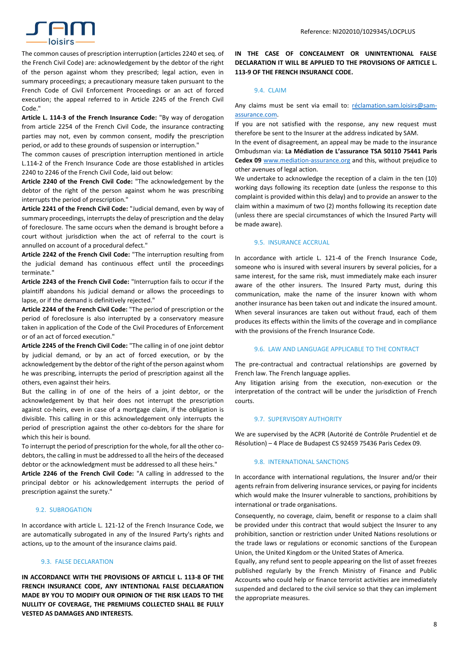

The common causes of prescription interruption (articles 2240 et seq. of the French Civil Code) are: acknowledgement by the debtor of the right of the person against whom they prescribed; legal action, even in summary proceedings; a precautionary measure taken pursuant to the French Code of Civil Enforcement Proceedings or an act of forced execution; the appeal referred to in Article 2245 of the French Civil Code."

**Article L. 114-3 of the French Insurance Code:** "By way of derogation from article 2254 of the French Civil Code, the insurance contracting parties may not, even by common consent, modify the prescription period, or add to these grounds of suspension or interruption."

The common causes of prescription interruption mentioned in article L.114-2 of the French Insurance Code are those established in articles 2240 to 2246 of the French Civil Code, laid out below:

**Article 2240 of the French Civil Code:** "The acknowledgement by the debtor of the right of the person against whom he was prescribing interrupts the period of prescription."

**Article 2241 of the French Civil Code:** "Judicial demand, even by way of summary proceedings, interrupts the delay of prescription and the delay of foreclosure. The same occurs when the demand is brought before a court without jurisdiction when the act of referral to the court is annulled on account of a procedural defect."

**Article 2242 of the French Civil Code:** "The interruption resulting from the judicial demand has continuous effect until the proceedings terminate."

**Article 2243 of the French Civil Code:** "Interruption fails to occur if the plaintiff abandons his judicial demand or allows the proceedings to lapse, or if the demand is definitively rejected."

**Article 2244 of the French Civil Code:** "The period of prescription or the period of foreclosure is also interrupted by a conservatory measure taken in application of the Code of the Civil Procedures of Enforcement or of an act of forced execution."

**Article 2245 of the French Civil Code:** "The calling in of one joint debtor by judicial demand, or by an act of forced execution, or by the acknowledgement by the debtor of the right of the person against whom he was prescribing, interrupts the period of prescription against all the others, even against their heirs.

But the calling in of one of the heirs of a joint debtor, or the acknowledgement by that heir does not interrupt the prescription against co-heirs, even in case of a mortgage claim, if the obligation is divisible. This calling in or this acknowledgement only interrupts the period of prescription against the other co-debtors for the share for which this heir is bound.

To interrupt the period of prescription for the whole, for all the other codebtors, the calling in must be addressed to all the heirs of the deceased debtor or the acknowledgment must be addressed to all these heirs."

**Article 2246 of the French Civil Code:** "A calling in addressed to the principal debtor or his acknowledgement interrupts the period of prescription against the surety."

# 9.2. SUBROGATION

In accordance with article L. 121-12 of the French Insurance Code, we are automatically subrogated in any of the Insured Party's rights and actions, up to the amount of the insurance claims paid.

# 9.3. FALSE DECLARATION

**IN ACCORDANCE WITH THE PROVISIONS OF ARTICLE L. 113-8 OF THE FRENCH INSURANCE CODE, ANY INTENTIONAL FALSE DECLARATION MADE BY YOU TO MODIFY OUR OPINION OF THE RISK LEADS TO THE NULLITY OF COVERAGE, THE PREMIUMS COLLECTED SHALL BE FULLY VESTED AS DAMAGES AND INTERESTS.** 

**IN THE CASE OF CONCEALMENT OR UNINTENTIONAL FALSE DECLARATION IT WILL BE APPLIED TO THE PROVISIONS OF ARTICLE L. 113-9 OF THE FRENCH INSURANCE CODE.**

## 9.4. CLAIM

Any claims must be sent via email to: [réclamation.sam.loisirs@sam](mailto:réclamation.sam.loisirs@sam-assurance.com)[assurance.com.](mailto:réclamation.sam.loisirs@sam-assurance.com)

If you are not satisfied with the response, any new request must therefore be sent to the Insurer at the address indicated by SAM.

In the event of disagreement, an appeal may be made to the insurance Ombudsman via: **La Médiation de L'assurance TSA 50110 75441 Paris Cedex 09** [www.mediation-assurance.org](http://www.mediation-assurance.org/) and this, without prejudice to other avenues of legal action.

We undertake to acknowledge the reception of a claim in the ten (10) working days following its reception date (unless the response to this complaint is provided within this delay) and to provide an answer to the claim within a maximum of two (2) months following its reception date (unless there are special circumstances of which the Insured Party will be made aware).

# 9.5. INSURANCE ACCRUAL

In accordance with article L. 121-4 of the French Insurance Code, someone who is insured with several insurers by several policies, for a same interest, for the same risk, must immediately make each insurer aware of the other insurers. The Insured Party must, during this communication, make the name of the insurer known with whom another insurance has been taken out and indicate the insured amount. When several insurances are taken out without fraud, each of them produces its effects within the limits of the coverage and in compliance with the provisions of the French Insurance Code.

#### 9.6. LAW AND LANGUAGE APPLICABLE TO THE CONTRACT

The pre-contractual and contractual relationships are governed by French law. The French language applies.

Any litigation arising from the execution, non-execution or the interpretation of the contract will be under the jurisdiction of French courts.

## 9.7. SUPERVISORY AUTHORITY

We are supervised by the ACPR (Autorité de Contrôle Prudentiel et de Résolution) – 4 Place de Budapest CS 92459 75436 Paris Cedex 09.

#### 9.8. INTERNATIONAL SANCTIONS

In accordance with international regulations, the Insurer and/or their agents refrain from delivering insurance services, or paying for incidents which would make the Insurer vulnerable to sanctions, prohibitions by international or trade organisations.

Consequently, no coverage, claim, benefit or response to a claim shall be provided under this contract that would subject the Insurer to any prohibition, sanction or restriction under United Nations resolutions or the trade laws or regulations or economic sanctions of the European Union, the United Kingdom or the United States of America.

Equally, any refund sent to people appearing on the list of asset freezes published regularly by the French Ministry of Finance and Public Accounts who could help or finance terrorist activities are immediately suspended and declared to the civil service so that they can implement the appropriate measures.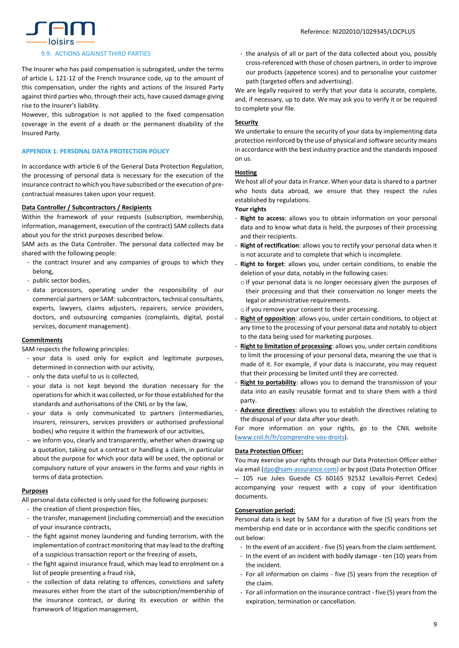

## 9.9. ACTIONS AGAINST THIRD PARTIES

The Insurer who has paid compensation is subrogated, under the terms of article L. 121-12 of the French Insurance code, up to the amount of this compensation, under the rights and actions of the Insured Party against third parties who, through their acts, have caused damage giving rise to the Insurer's liability.

However, this subrogation is not applied to the fixed compensation coverage in the event of a death or the permanent disability of the Insured Party.

# **APPENDIX 1: PERSONAL DATA PROTECTION POLICY**

In accordance with article 6 of the General Data Protection Regulation, the processing of personal data is necessary for the execution of the insurance contract to which you have subscribed or the execution of precontractual measures taken upon your request.

# **Data Controller / Subcontractors / Recipients**

Within the framework of your requests (subscription, membership, information, management, execution of the contract) SAM collects data about you for the strict purposes described below.

SAM acts as the Data Controller. The personal data collected may be shared with the following people:

- the contract Insurer and any companies of groups to which they belong,
- public sector bodies,
- data processors, operating under the responsibility of our commercial partners or SAM: subcontractors, technical consultants, experts, lawyers, claims adjusters, repairers, service providers, doctors, and outsourcing companies (complaints, digital, postal services, document management).

# **Commitments**

SAM respects the following principles:

- your data is used only for explicit and legitimate purposes, determined in connection with our activity,
- only the data useful to us is collected,
- your data is not kept beyond the duration necessary for the operations for which it was collected, or for those established for the standards and authorisations of the CNIL or by the law,
- your data is only communicated to partners (intermediaries, insurers, reinsurers, services providers or authorised professional bodies) who require it within the framework of our activities,
- we inform you, clearly and transparently, whether when drawing up a quotation, taking out a contract or handling a claim, in particular about the purpose for which your data will be used, the optional or compulsory nature of your answers in the forms and your rights in terms of data protection.

# **Purposes**

All personal data collected is only used for the following purposes:

- the creation of client prospection files,
- the transfer, management (including commercial) and the execution of your insurance contracts,
- the fight against money laundering and funding terrorism, with the implementation of contract monitoring that may lead to the drafting of a suspicious transaction report or the freezing of assets,
- the fight against insurance fraud, which may lead to enrolment on a list of people presenting a fraud risk,
- the collection of data relating to offences, convictions and safety measures either from the start of the subscription/membership of the insurance contract, or during its execution or within the framework of litigation management,

- the analysis of all or part of the data collected about you, possibly cross-referenced with those of chosen partners, in order to improve our products (appetence scores) and to personalise your customer path (targeted offers and advertising).

We are legally required to verify that your data is accurate, complete, and, if necessary, up to date. We may ask you to verify it or be required to complete your file.

# **Security**

We undertake to ensure the security of your data by implementing data protection reinforced by the use of physical and software security means in accordance with the best industry practice and the standards imposed on us.

# **Hosting**

We host all of your data in France. When your data is shared to a partner who hosts data abroad, we ensure that they respect the rules established by regulations.

# **Your rights**

- **Right to access**: allows you to obtain information on your personal data and to know what data is held, the purposes of their processing and their recipients.
- **Right of rectification**: allows you to rectify your personal data when it is not accurate and to complete that which is incomplete.
- **Right to forget**: allows you, under certain conditions, to enable the deletion of your data, notably in the following cases:
	- o if your personal data is no longer necessary given the purposes of their processing and that their conservation no longer meets the legal or administrative requirements.
- o if you remove your consent to their processing.
- Right of opposition: allows you, under certain conditions, to object at any time to the processing of your personal data and notably to object to the data being used for marketing purposes.
- **Right to limitation of processing**: allows you, under certain conditions to limit the processing of your personal data, meaning the use that is made of it. For example, if your data is inaccurate, you may request that their processing be limited until they are corrected.
- **Right to portability**: allows you to demand the transmission of your data into an easily reusable format and to share them with a third party.
- **Advance directives**: allows you to establish the directives relating to the disposal of your data after your death.

For more information on your rights, go to the [CNIL](http://www.cnil.fr/fr/comprendre-vos-droits) website [\(www.cnil.fr/fr/comprendre-vos-droits\)](http://www.cnil.fr/fr/comprendre-vos-droits).

## **Data Protection Officer:**

You may exercise your rights through our Data Protection Officer either via email [\(dpo@sam-assurance.com\)](mailto:dpo@sam-assurance.com) or by post (Data Protection Officer – 105 rue Jules Guesde CS 60165 92532 Levallois-Perret Cedex) accompanying your request with a copy of your identification documents.

## **Conservation period:**

Personal data is kept by SAM for a duration of five (5) years from the membership end date or in accordance with the specific conditions set out below:

- In the event of an accident five (5) years from the claim settlement.
- In the event of an incident with bodily damage ten (10) years from the incident.
- For all information on claims five (5) years from the reception of the claim.
- For all information on the insurance contract five (5) years from the expiration, termination or cancellation.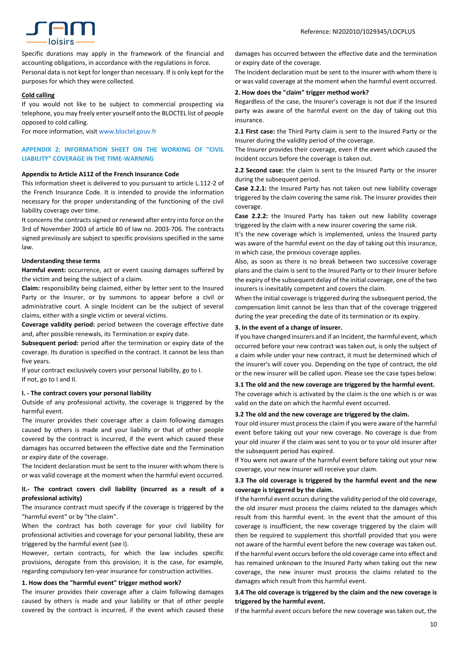

Specific durations may apply in the framework of the financial and accounting obligations, in accordance with the regulations in force. Personal data is not kept for longer than necessary. If is only kept for the purposes for which they were collected.

# **Cold calling**

If you would not like to be subject to commercial prospecting via telephone, you may freely enter yourself onto the BLOCTEL list of people opposed to cold calling.

For more information, [visit](http://www.bloctel.gouv.fr/) [www.bloctel.gouv.fr](http://www.bloctel.gouv.fr/)

# **APPENDIX 2: INFORMATION SHEET ON THE WORKING OF "CIVIL LIABILITY" COVERAGE IN THE TIME-WARNING**

#### **Appendix to Article A112 of the French Insurance Code**

This information sheet is delivered to you pursuant to article L.112-2 of the French Insurance Code. It is intended to provide the information necessary for the proper understanding of the functioning of the civil liability coverage over time.

It concerns the contracts signed or renewed after entry into force on the 3rd of November 2003 of article 80 of law no. 2003-706. The contracts signed previously are subject to specific provisions specified in the same law.

# **Understanding these terms**

**Harmful event:** occurrence, act or event causing damages suffered by the victim and being the subject of a claim.

**Claim:** responsibility being claimed, either by letter sent to the Insured Party or the Insurer, or by summons to appear before a civil or administrative court. A single Incident can be the subject of several claims, either with a single victim or several victims.

**Coverage validity period:** period between the coverage effective date and, after possible renewals, its Termination or expiry date.

**Subsequent period:** period after the termination or expiry date of the coverage. Its duration is specified in the contract. It cannot be less than five years.

If your contract exclusively covers your personal liability, go to I. If not, go to I and II.

# **I. - The contract covers your personal liability**

Outside of any professional activity, the coverage is triggered by the harmful event.

The insurer provides their coverage after a claim following damages caused by others is made and your liability or that of other people covered by the contract is incurred, if the event which caused these damages has occurred between the effective date and the Termination or expiry date of the coverage.

The Incident declaration must be sent to the insurer with whom there is or was valid coverage at the moment when the harmful event occurred.

# **II.- The contract covers civil liability (incurred as a result of a professional activity)**

The insurance contract must specify if the coverage is triggered by the "harmful event" or by "the claim".

When the contract has both coverage for your civil liability for professional activities and coverage for your personal liability, these are triggered by the harmful event (see I).

However, certain contracts, for which the law includes specific provisions, derogate from this provision; it is the case, for example, regarding compulsory ten-year insurance for construction activities.

## **1. How does the "harmful event" trigger method work?**

The insurer provides their coverage after a claim following damages caused by others is made and your liability or that of other people covered by the contract is incurred, if the event which caused these

damages has occurred between the effective date and the termination or expiry date of the coverage.

The Incident declaration must be sent to the insurer with whom there is or was valid coverage at the moment when the harmful event occurred.

# **2. How does the "claim" trigger method work?**

Regardless of the case, the Insurer's coverage is not due if the Insured party was aware of the harmful event on the day of taking out this insurance.

**2.1 First case:** the Third Party claim is sent to the Insured Party or the Insurer during the validity period of the coverage.

The Insurer provides their coverage, even if the event which caused the Incident occurs before the coverage is taken out.

**2.2 Second case:** the claim is sent to the Insured Party or the insurer during the subsequent period.

**Case 2.2.1:** the Insured Party has not taken out new liability coverage triggered by the claim covering the same risk. The Insurer provides their coverage.

**Case 2.2.2:** the Insured Party has taken out new liability coverage triggered by the claim with a new insurer covering the same risk.

It's the new coverage which is implemented, unless the Insured party was aware of the harmful event on the day of taking out this insurance, in which case, the previous coverage applies.

Also, as soon as there is no break between two successive coverage plans and the claim is sent to the Insured Party or to their Insurer before the expiry of the subsequent delay of the initial coverage, one of the two insurers is inevitably competent and covers the claim.

When the initial coverage is triggered during the subsequent period, the compensation limit cannot be less than that of the coverage triggered during the year preceding the date of its termination or its expiry.

#### **3. In the event of a change of insurer.**

If you have changed insurers and if an Incident, the harmful event, which occurred before your new contract was taken out, is only the subject of a claim while under your new contract, it must be determined which of the insurer's will cover you. Depending on the type of contract, the old or the new insurer will be called upon. Please see the case types below:

# **3.1 The old and the new coverage are triggered by the harmful event.**

The coverage which is activated by the claim is the one which is or was valid on the date on which the harmful event occurred.

#### **3.2 The old and the new coverage are triggered by the claim.**

Your old insurer must process the claim if you were aware of the harmful event before taking out your new coverage. No coverage is due from your old insurer if the claim was sent to you or to your old insurer after the subsequent period has expired.

If You were not aware of the harmful event before taking out your new coverage, your new insurer will receive your claim.

# **3.3 The old coverage is triggered by the harmful event and the new coverage is triggered by the claim.**

If the harmful event occurs during the validity period of the old coverage, the old insurer must process the claims related to the damages which result from this harmful event. In the event that the amount of this coverage is insufficient, the new coverage triggered by the claim will then be required to supplement this shortfall provided that you were not aware of the harmful event before the new coverage was taken out. If the harmful event occurs before the old coverage came into effect and has remained unknown to the Insured Party when taking out the new coverage, the new insurer must process the claims related to the damages which result from this harmful event.

# **3.4 The old coverage is triggered by the claim and the new coverage is triggered by the harmful event.**

If the harmful event occurs before the new coverage was taken out, the